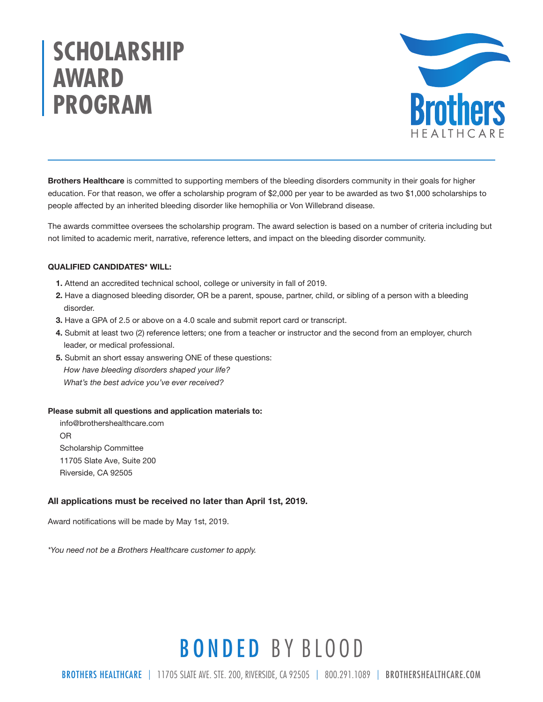# **SCHOLARSHIP AWARD PROGRAM**



Brothers Healthcare is committed to supporting members of the bleeding disorders community in their goals for higher education. For that reason, we offer a scholarship program of \$2,000 per year to be awarded as two \$1,000 scholarships to people affected by an inherited bleeding disorder like hemophilia or Von Willebrand disease.

The awards committee oversees the scholarship program. The award selection is based on a number of criteria including but not limited to academic merit, narrative, reference letters, and impact on the bleeding disorder community.

#### QUALIFIED CANDIDATES\* WILL:

- 1. Attend an accredited technical school, college or university in fall of 2019.
- 2. Have a diagnosed bleeding disorder, OR be a parent, spouse, partner, child, or sibling of a person with a bleeding disorder.
- 3. Have a GPA of 2.5 or above on a 4.0 scale and submit report card or transcript.
- 4. Submit at least two (2) reference letters; one from a teacher or instructor and the second from an employer, church leader, or medical professional.
- 5. Submit an short essay answering ONE of these questions: *How have bleeding disorders shaped your life? What's the best advice you've ever received?*

#### Please submit all questions and application materials to:

info@brothershealthcare.com OR Scholarship Committee 11705 Slate Ave, Suite 200 Riverside, CA 92505

#### All applications must be received no later than April 1st, 2019.

Award notifications will be made by May 1st, 2019.

*\*You need not be a Brothers Healthcare customer to apply.*

## BONDED BY BLOOD